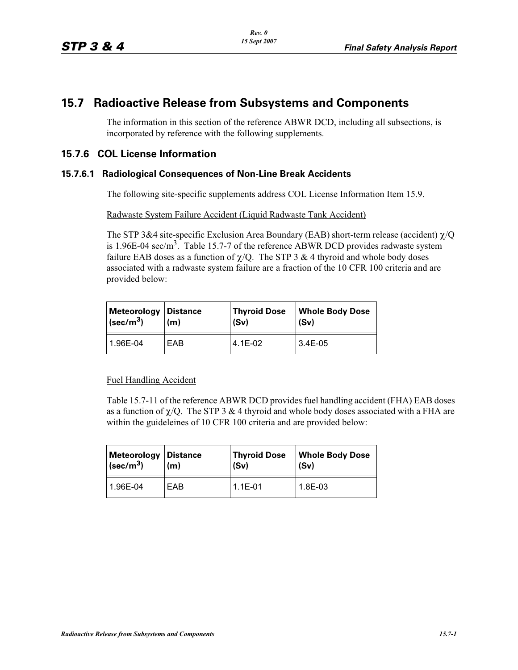# **15.7 Radioactive Release from Subsystems and Components**

The information in this section of the reference ABWR DCD, including all subsections, is incorporated by reference with the following supplements.

## **15.7.6 COL License Information**

#### **15.7.6.1 Radiological Consequences of Non-Line Break Accidents**

The following site-specific supplements address COL License Information Item 15.9.

Radwaste System Failure Accident (Liquid Radwaste Tank Accident)

The STP 3&4 site-specific Exclusion Area Boundary (EAB) short-term release (accident)  $\chi$ /Q is 1.96E-04 sec/m<sup>3</sup>. Table 15.7-7 of the reference ABWR DCD provides radwaste system failure EAB doses as a function of  $\chi$ /Q. The STP 3 & 4 thyroid and whole body doses associated with a radwaste system failure are a fraction of the 10 CFR 100 criteria and are provided below:

| <b>Meteorology   Distance</b> | (m) | <b>Thyroid Dose</b> | <b>Whole Body Dose</b> |
|-------------------------------|-----|---------------------|------------------------|
| $\sqrt{(sec/m^3)}$            |     | (Sv)                | (Sv)                   |
| 1.96E-04                      | EAB | 4.1E-02             | $3.4E-05$              |

#### Fuel Handling Accident

Table 15.7-11 of the reference ABWR DCD provides fuel handling accident (FHA) EAB doses as a function of  $\chi$ /Q. The STP 3 & 4 thyroid and whole body doses associated with a FHA are within the guideleines of 10 CFR 100 criteria and are provided below:

| Meteorology Distance      | (m) | <b>Thyroid Dose</b> | <b>Whole Body Dose</b> |
|---------------------------|-----|---------------------|------------------------|
| $ $ (sec/m <sup>3</sup> ) |     | (Sv)                | (Sv)                   |
| 1.96E-04                  | EAB | $1.1E-01$           | 1.8E-03                |